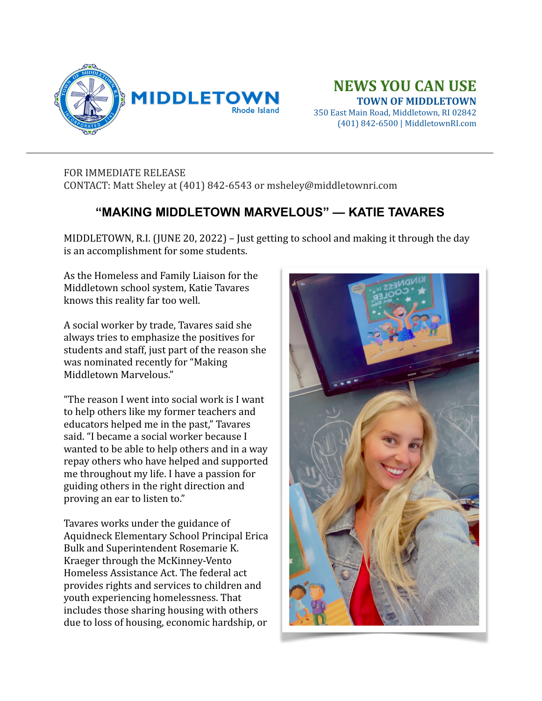

## **NEWS YOU CAN USE TOWN OF MIDDLETOWN**

350 East Main Road, Middletown, RI 02842 (401) 842-6500 | MiddletownRI.com

## FOR IMMEDIATE RELEASE CONTACT: Matt Sheley at (401) 842-6543 or msheley@middletownri.com

## **"MAKING MIDDLETOWN MARVELOUS" — KATIE TAVARES**

MIDDLETOWN, R.I. (JUNE 20, 2022) – Just getting to school and making it through the day is an accomplishment for some students.

As the Homeless and Family Liaison for the Middletown school system, Katie Tavares knows this reality far too well.

A social worker by trade, Tavares said she always tries to emphasize the positives for students and staff, just part of the reason she was nominated recently for "Making" Middletown Marvelous."

"The reason I went into social work is I want to help others like my former teachers and educators helped me in the past," Tavares said. "I became a social worker because I wanted to be able to help others and in a way repay others who have helped and supported me throughout my life. I have a passion for guiding others in the right direction and proving an ear to listen to."

Tavares works under the guidance of Aquidneck Elementary School Principal Erica Bulk and Superintendent Rosemarie K. Kraeger through the McKinney-Vento Homeless Assistance Act. The federal act provides rights and services to children and youth experiencing homelessness. That includes those sharing housing with others due to loss of housing, economic hardship, or

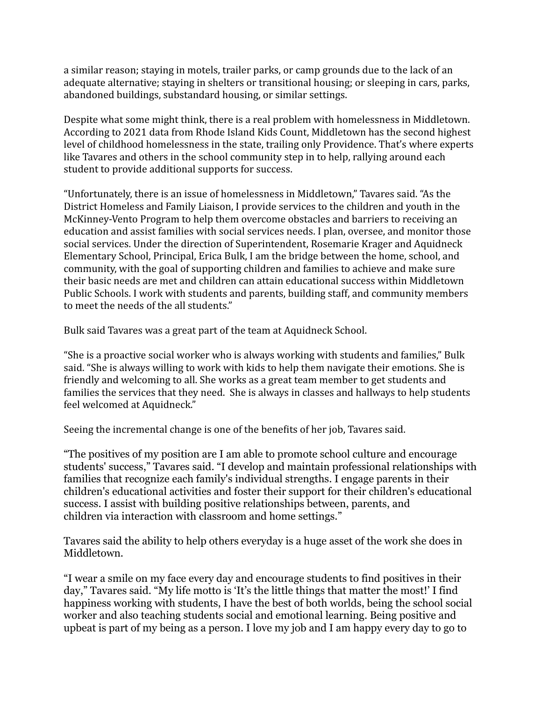a similar reason; staying in motels, trailer parks, or camp grounds due to the lack of an adequate alternative; staying in shelters or transitional housing; or sleeping in cars, parks, abandoned buildings, substandard housing, or similar settings.

Despite what some might think, there is a real problem with homelessness in Middletown. According to 2021 data from Rhode Island Kids Count, Middletown has the second highest level of childhood homelessness in the state, trailing only Providence. That's where experts like Tavares and others in the school community step in to help, rallying around each student to provide additional supports for success.

"Unfortunately, there is an issue of homelessness in Middletown," Tavares said. "As the District Homeless and Family Liaison, I provide services to the children and youth in the McKinney-Vento Program to help them overcome obstacles and barriers to receiving an education and assist families with social services needs. I plan, oversee, and monitor those social services. Under the direction of Superintendent, Rosemarie Krager and Aquidneck Elementary School, Principal, Erica Bulk, I am the bridge between the home, school, and community, with the goal of supporting children and families to achieve and make sure their basic needs are met and children can attain educational success within Middletown Public Schools. I work with students and parents, building staff, and community members to meet the needs of the all students."

Bulk said Tavares was a great part of the team at Aquidneck School.

"She is a proactive social worker who is always working with students and families," Bulk said. "She is always willing to work with kids to help them navigate their emotions. She is friendly and welcoming to all. She works as a great team member to get students and families the services that they need. She is always in classes and hallways to help students feel welcomed at Aquidneck."

Seeing the incremental change is one of the benefits of her job, Tavares said.

"The positives of my position are I am able to promote school culture and encourage students' success," Tavares said. "I develop and maintain professional relationships with families that recognize each family's individual strengths. I engage parents in their children's educational activities and foster their support for their children's educational success. I assist with building positive relationships between, parents, and children via interaction with classroom and home settings."

Tavares said the ability to help others everyday is a huge asset of the work she does in Middletown.

"I wear a smile on my face every day and encourage students to find positives in their day," Tavares said. "My life motto is 'It's the little things that matter the most!' I find happiness working with students, I have the best of both worlds, being the school social worker and also teaching students social and emotional learning. Being positive and upbeat is part of my being as a person. I love my job and I am happy every day to go to